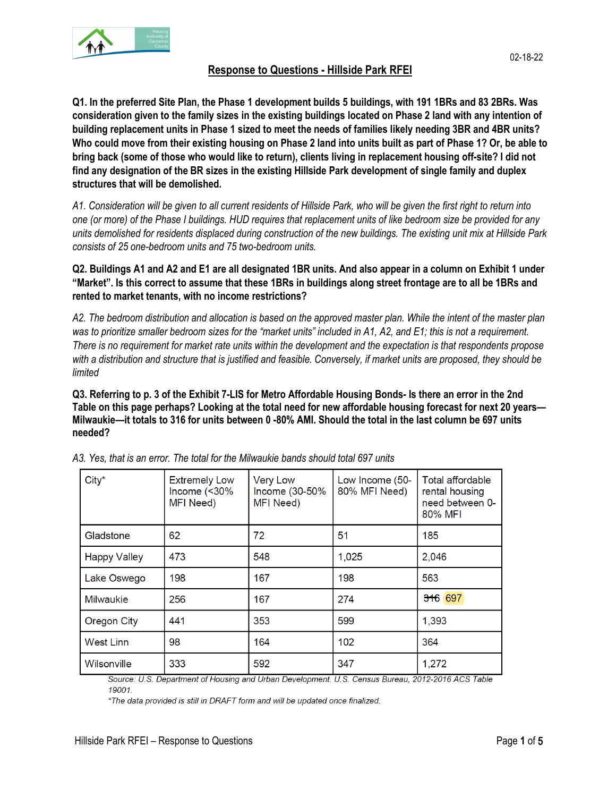

# **Response to Questions - Hillside Park RFEI**

**[Q1. In](https://protect-us.mimecast.com/s/7MCACNkBvQs0PGGki4NqBo?domain=1.in) the preferred Site Plan, the Phase 1 development builds 5 buildings, with 191 1BRs and 83 2BRs. Was consideration given to the family sizes in the existing buildings located on Phase 2 land with any intention of building replacement units in Phase 1 sized to meet the needs of families likely needing 3BR and 4BR units? Who could move from their existing housing on Phase 2 land into units built as part of Phase 1? Or, be able to bring back (some of those who would like to return), clients living in replacement housing off-site? I did not find any designation of the BR sizes in the existing Hillside Park development of single family and duplex structures that will be demolished.** 

*A1. Consideration will be given to all current residents of Hillside Park, who will be given the first right to return into one (or more) of the Phase I buildings. HUD requires that replacement units of like bedroom size be provided for any units demolished for residents displaced during construction of the new buildings. The existing unit mix at Hillside Park consists of 25 one-bedroom units and 75 two-bedroom units.* 

**Q2. Buildings A1 and A2 and E1 are all designated 1BR units. And also appear in a column on Exhibit 1 under "Market". Is this correct to assume that these 1BRs in buildings along street frontage are to all be 1BRs and rented to market tenants, with no income restrictions?**

*A2. The bedroom distribution and allocation is based on the approved master plan. While the intent of the master plan was to prioritize smaller bedroom sizes for the "market units" included in A1, A2, and E1; this is not a requirement. There is no requirement for market rate units within the development and the expectation is that respondents propose with a distribution and structure that is justified and feasible. Conversely, if market units are proposed, they should be limited* 

**Q3. Referring to p. 3 of the Exhibit 7-LIS for Metro Affordable Housing Bonds- Is there an error in the 2nd Table on this page perhaps? Looking at the total need for new affordable housing forecast for next 20 years— Milwaukie—it totals to 316 for units between 0 -80% AMI. Should the total in the last column be 697 units needed?**

| $City^*$            | <b>Extremely Low</b><br>Income $($ <30%<br>MFI Need) | <b>Very Low</b><br>Income (30-50%<br>MFI Need) | Low Income (50-<br>80% MFI Need) | Total affordable<br>rental housing<br>need between 0-<br>80% MFI |
|---------------------|------------------------------------------------------|------------------------------------------------|----------------------------------|------------------------------------------------------------------|
| Gladstone           | 62                                                   | 72                                             | 51                               | 185                                                              |
| <b>Happy Valley</b> | 473                                                  | 548                                            | 1,025                            | 2,046                                                            |
| Lake Oswego         | 198                                                  | 167                                            | 198                              | 563                                                              |
| <b>Milwaukie</b>    | 256                                                  | 167                                            | 274                              | 316 697                                                          |
| <b>Oregon City</b>  | 441                                                  | 353                                            | 599                              | 1,393                                                            |
| <b>West Linn</b>    | 98                                                   | 164                                            | 102                              | 364                                                              |
| Wilsonville         | 333                                                  | 592                                            | 347                              | 1,272                                                            |

*A3. Yes, that is an error. The total for the Milwaukie bands should total 697 units*

Source: U.S. Department of Housing and Urban Development. U.S. Census Bureau, 2012-2016 ACS Table 19001.

\*The data provided is still in DRAFT form and will be updated once finalized.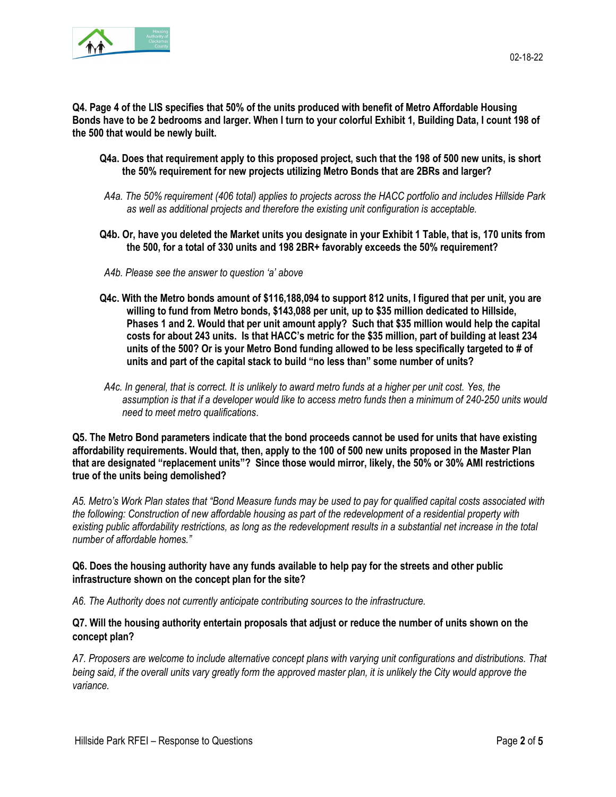

**Q4. Page 4 of the LIS specifies that 50% of the units produced with benefit of Metro Affordable Housing Bonds have to be 2 bedrooms and larger. When I turn to your colorful Exhibit 1, Building Data, I count 198 of the 500 that would be newly built.**

- **Q4a. Does that requirement apply to this proposed project, such that the 198 of 500 new units, is short the 50% requirement for new projects utilizing Metro Bonds that are 2BRs and larger?**
- *A4a. The 50% requirement (406 total) applies to projects across the HACC portfolio and includes Hillside Park as well as additional projects and therefore the existing unit configuration is acceptable.*
- **Q4b. Or, have you deleted the Market units you designate in your Exhibit 1 Table, that is, 170 units from the 500, for a total of 330 units and 198 2BR+ favorably exceeds the 50% requirement?**
- *A4b. Please see the answer to question 'a' above*
- **Q4c. With the Metro bonds amount of \$116,188,094 to support 812 units, I figured that per unit, you are willing to fund from Metro bonds, \$143,088 per unit, up to \$35 million dedicated to Hillside, Phases 1 and 2. Would that per unit amount apply? Such that \$35 million would help the capital costs for about 243 units. Is that HACC's metric for the \$35 million, part of building at least 234 units of the 500? Or is your Metro Bond funding allowed to be less specifically targeted to # of units and part of the capital stack to build "no less than" some number of units?**
- *A4c. In general, that is correct. It is unlikely to award metro funds at a higher per unit cost. Yes, the assumption is that if a developer would like to access metro funds then a minimum of 240-250 units would need to meet metro qualifications*.

**Q5. The Metro Bond parameters indicate that the bond proceeds cannot be used for units that have existing affordability requirements. Would that, then, apply to the 100 of 500 new units proposed in the Master Plan that are designated "replacement units"? Since those would mirror, likely, the 50% or 30% AMI restrictions true of the units being demolished?**

*A5. Metro's Work Plan states that "Bond Measure funds may be used to pay for qualified capital costs associated with the following: Construction of new affordable housing as part of the redevelopment of a residential property with existing public affordability restrictions, as long as the redevelopment results in a substantial net increase in the total number of affordable homes."* 

### **Q6. Does the housing authority have any funds available to help pay for the streets and other public infrastructure shown on the concept plan for the site?**

*A6. The Authority does not currently anticipate contributing sources to the infrastructure.* 

### **Q7. Will the housing authority entertain proposals that adjust or reduce the number of units shown on the concept plan?**

*A7. Proposers are welcome to include alternative concept plans with varying unit configurations and distributions. That being said, if the overall units vary greatly form the approved master plan, it is unlikely the City would approve the variance.*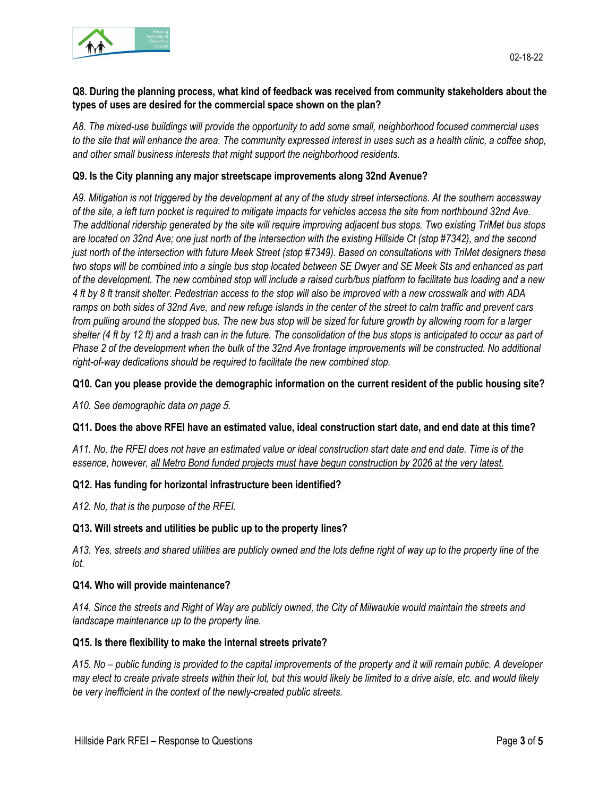

*A8. The mixed-use buildings will provide the opportunity to add some small, neighborhood focused commercial uses to the site that will enhance the area. The community expressed interest in uses such as a health clinic, a coffee shop, and other small business interests that might support the neighborhood residents.*

### **Q9. Is the City planning any major streetscape improvements along 32nd Avenue?**

*A9. Mitigation is not triggered by the development at any of the study street intersections. At the southern accessway of the site, a left turn pocket is required to mitigate impacts for vehicles access the site from northbound 32nd Ave. The additional ridership generated by the site will require improving adjacent bus stops. Two existing TriMet bus stops are located on 32nd Ave; one just north of the intersection with the existing Hillside Ct (stop #7342), and the second just north of the intersection with future Meek Street (stop #7349). Based on consultations with TriMet designers these two stops will be combined into a single bus stop located between SE Dwyer and SE Meek Sts and enhanced as part of the development. The new combined stop will include a raised curb/bus platform to facilitate bus loading and a new 4 ft by 8 ft transit shelter. Pedestrian access to the stop will also be improved with a new crosswalk and with ADA ramps on both sides of 32nd Ave, and new refuge islands in the center of the street to calm traffic and prevent cars from pulling around the stopped bus. The new bus stop will be sized for future growth by allowing room for a larger shelter (4 ft by 12 ft) and a trash can in the future. The consolidation of the bus stops is anticipated to occur as part of Phase 2 of the development when the bulk of the 32nd Ave frontage improvements will be constructed. No additional right-of-way dedications should be required to facilitate the new combined stop.* 

### **Q10. Can you please provide the demographic information on the current resident of the public housing site?**

*A10. See demographic data* on page 5.

## **Q11. Does the above RFEI have an estimated value, ideal construction start date, and end date at this time?**

*A11. No, the RFEI does not have an estimated value or ideal construction start date and end date. Time is of the essence, however, all Metro Bond funded projects must have begun construction by 2026 at the very latest.*

## **Q12. Has funding for horizontal infrastructure been identified?**

*A12. No, that is the purpose of the RFEI.*

#### **Q13. Will streets and utilities be public up to the property lines?**

*A13. Yes, streets and shared utilities are publicly owned and the lots define right of way up to the property line of the lot.* 

#### **Q14. Who will provide maintenance?**

*A14. Since the streets and Right of Way are publicly owned, the City of Milwaukie would maintain the streets and landscape maintenance up to the property line.*

#### **Q15. Is there flexibility to make the internal streets private?**

*A15. No – public funding is provided to the capital improvements of the property and it will remain public. A developer may elect to create private streets within their lot, but this would likely be limited to a drive aisle, etc. and would likely be very inefficient in the context of the newly-created public streets.*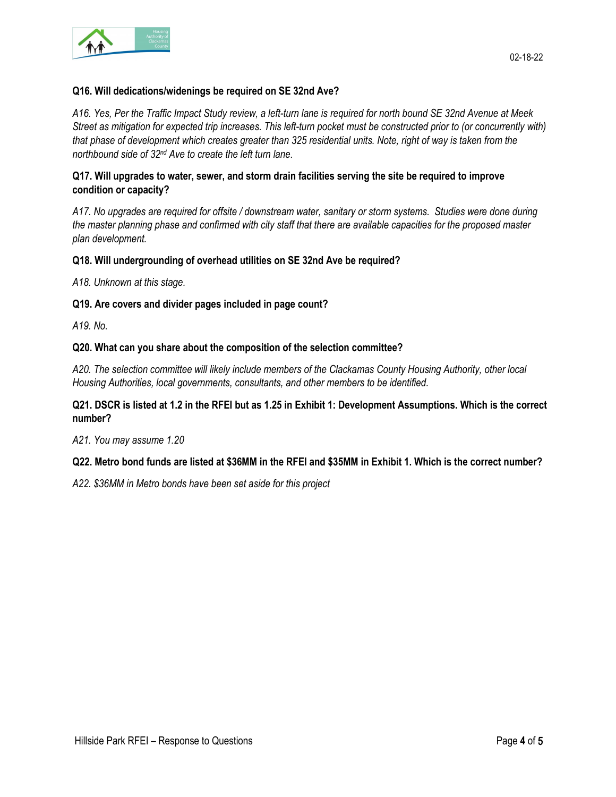

#### **Q16. Will dedications/widenings be required on SE 32nd Ave?**

*A16. Yes, Per the Traffic Impact Study review, a left-turn lane is required for north bound SE 32nd Avenue at Meek Street as mitigation for expected trip increases. This left-turn pocket must be constructed prior to (or concurrently with) that phase of development which creates greater than 325 residential units. Note, right of way is taken from the northbound side of 32nd Ave to create the left turn lane.* 

### **Q17. Will upgrades to water, sewer, and storm drain facilities serving the site be required to improve condition or capacity?**

*A17. No upgrades are required for offsite / downstream water, sanitary or storm systems. Studies were done during the master planning phase and confirmed with city staff that there are available capacities for the proposed master plan development.* 

#### **Q18. Will undergrounding of overhead utilities on SE 32nd Ave be required?**

*A18. Unknown at this stage.*

#### **Q19. Are covers and divider pages included in page count?**

*A19. No.*

#### **Q20. What can you share about the composition of the selection committee?**

*A20. The selection committee will likely include members of the Clackamas County Housing Authority, other local Housing Authorities, local governments, consultants, and other members to be identified.* 

#### **Q21. DSCR is listed at 1.2 in the RFEI but as 1.25 in Exhibit 1: Development Assumptions. Which is the correct number?**

*A21. You may assume 1.20*

#### **Q22. Metro bond funds are listed at \$36MM in the RFEI and \$35MM in Exhibit 1. Which is the correct number?**

*A22. \$36MM in Metro bonds have been set aside for this project*